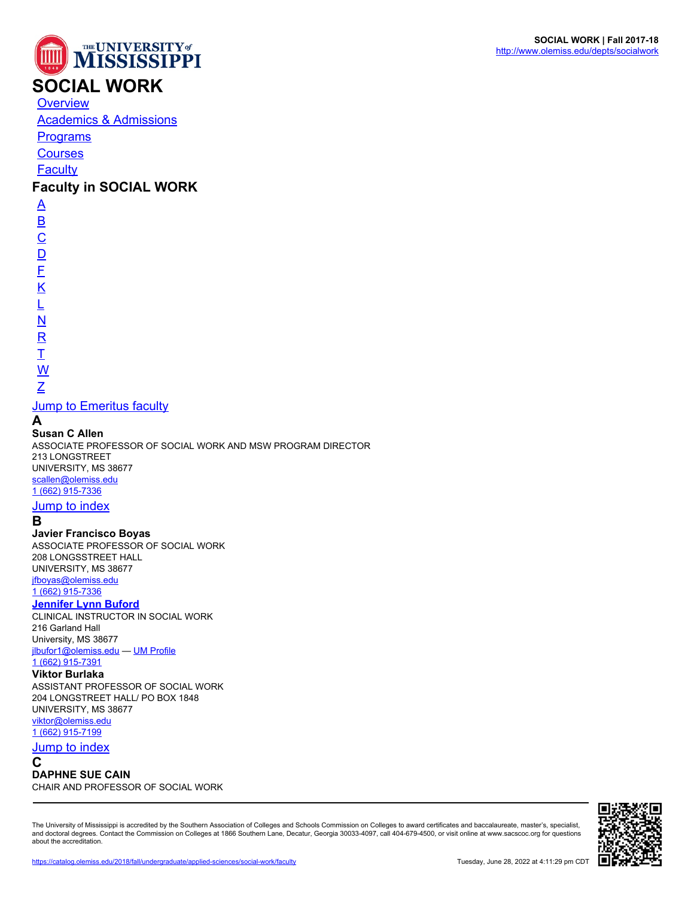



# **SOCIAL WORK**

**[Overview](https://catalog.olemiss.edu/2018/fall/applied-sciences/social-work)** 

[Academics & Admissions](https://catalog.olemiss.edu/2018/fall/applied-sciences/social-work/academics)

**[Programs](https://catalog.olemiss.edu/2018/fall/applied-sciences/social-work/programs)** 

**[Courses](https://catalog.olemiss.edu/2018/fall/applied-sciences/social-work/courses)** 

**[Faculty](https://catalog.olemiss.edu/2018/fall/applied-sciences/social-work/faculty)** 

# **Faculty in SOCIAL WORK**

 $\overline{\mathsf{A}}$  $\overline{\mathsf{A}}$  $\overline{\mathsf{A}}$ [B](#page--1-0)  $\overline{C}$  $\overline{C}$  $\overline{C}$  $D$ [F](#page--1-0) [K](#page--1-0) [L](#page--1-0) [N](#page--1-0) [R](#page--1-0)

# [T](#page--1-0)

# [W](#page--1-0) [Z](#page--1-0)

# **[Jump to Emeritus faculty](#page--1-0)**

# **A**

**Susan C Allen**

ASSOCIATE PROFESSOR OF SOCIAL WORK AND MSW PROGRAM DIRECTOR 213 LONGSTREET UNIVERSITY, MS 38677 [scallen@olemiss.edu](http://catalog.olemiss.edu/mailto:scallen@olemiss.edu) [1 \(662\) 915-7336](http://catalog.olemiss.edu/tel:16629157336)

# [Jump to index](#page--1-0)

# **B**

**Javier Francisco Boyas** ASSOCIATE PROFESSOR OF SOCIAL WORK 208 LONGSSTREET HALL UNIVERSITY, MS 38677 [jfboyas@olemiss.edu](http://catalog.olemiss.edu/mailto:jfboyas@olemiss.edu) [1 \(662\) 915-7336](http://catalog.olemiss.edu/tel:16629157336)

### **[Jennifer Lynn Buford](http://www.olemiss.edu/people/jlbufor1)**

CLINICAL INSTRUCTOR IN SOCIAL WORK 216 Garland Hall University, MS 38677 [jlbufor1@olemiss.edu](http://catalog.olemiss.edu/mailto:jlbufor1@olemiss.edu) — [UM Profile](http://www.olemiss.edu/people/jlbufor1) [1 \(662\) 915-7391](http://catalog.olemiss.edu/tel:16629157391)

### **Viktor Burlaka**

ASSISTANT PROFESSOR OF SOCIAL WORK 204 LONGSTREET HALL/ PO BOX 1848 UNIVERSITY, MS 38677 [viktor@olemiss.edu](http://catalog.olemiss.edu/mailto:viktor@olemiss.edu) [1 \(662\) 915-7199](http://catalog.olemiss.edu/tel:16629157199)

# [Jump to index](#page--1-0)

**C**

### **DAPHNE SUE CAIN**

CHAIR AND PROFESSOR OF SOCIAL WORK

The University of Mississippi is accredited by the Southern Association of Colleges and Schools Commission on Colleges to award certificates and baccalaureate, master's, specialist, and doctoral degrees. Contact the Commission on Colleges at 1866 Southern Lane, Decatur, Georgia 30033-4097, call 404-679-4500, or visit online at www.sacscoc.org for questions about the accreditation.

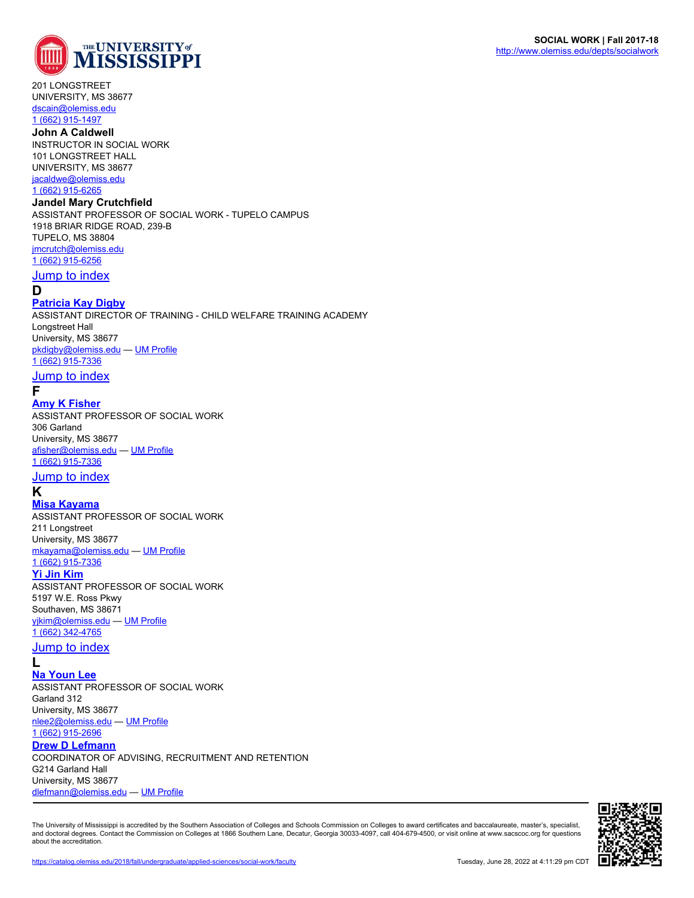

201 LONGSTREET UNIVERSITY, MS 38677 [dscain@olemiss.edu](http://catalog.olemiss.edu/mailto:dscain@olemiss.edu)

# [1 \(662\) 915-1497](http://catalog.olemiss.edu/tel:16629151497)

**John A Caldwell** INSTRUCTOR IN SOCIAL WORK 101 LONGSTREET HALL UNIVERSITY, MS 38677 [jacaldwe@olemiss.edu](http://catalog.olemiss.edu/mailto:jacaldwe@olemiss.edu) [1 \(662\) 915-6265](http://catalog.olemiss.edu/tel:16629156265)

#### **Jandel Mary Crutchfield**

ASSISTANT PROFESSOR OF SOCIAL WORK - TUPELO CAMPUS 1918 BRIAR RIDGE ROAD, 239-B TUPELO, MS 38804 [jmcrutch@olemiss.edu](http://catalog.olemiss.edu/mailto:jmcrutch@olemiss.edu) [1 \(662\) 915-6256](http://catalog.olemiss.edu/tel:16629156256)

#### [Jump to index](#page--1-0)

### **D**

#### **[Patricia Kay Digby](http://www.olemiss.edu/people/pkdigby)**

ASSISTANT DIRECTOR OF TRAINING - CHILD WELFARE TRAINING ACADEMY Longstreet Hall University, MS 38677 [pkdigby@olemiss.edu](http://catalog.olemiss.edu/mailto:pkdigby@olemiss.edu) — [UM Profile](http://www.olemiss.edu/people/pkdigby)

[1 \(662\) 915-7336](http://catalog.olemiss.edu/tel:16629157336)

### [Jump to index](#page--1-0)

# **F**

**[Amy K Fisher](http://www.olemiss.edu/people/afisher)** ASSISTANT PROFESSOR OF SOCIAL WORK 306 Garland University, MS 38677 [afisher@olemiss.edu](http://catalog.olemiss.edu/mailto:afisher@olemiss.edu) — [UM Profile](http://www.olemiss.edu/people/afisher) [1 \(662\) 915-7336](http://catalog.olemiss.edu/tel:16629157336)

#### <u>[Jump to index](#page--1-0)</u>

# **K**

**[Misa Kayama](http://www.olemiss.edu/people/mkayama)** ASSISTANT PROFESSOR OF SOCIAL WORK 211 Longstreet

University, MS 38677 [mkayama@olemiss.edu](http://catalog.olemiss.edu/mailto:mkayama@olemiss.edu) — [UM Profile](http://www.olemiss.edu/people/mkayama)

# [1 \(662\) 915-7336](http://catalog.olemiss.edu/tel:16629157336)

**[Yi Jin Kim](http://www.olemiss.edu/people/yjkim)** ASSISTANT PROFESSOR OF SOCIAL WORK 5197 W.E. Ross Pkwy Southaven, MS 38671 [yjkim@olemiss.edu](http://catalog.olemiss.edu/mailto:yjkim@olemiss.edu) — [UM Profile](http://www.olemiss.edu/people/yjkim) [1 \(662\) 342-4765](http://catalog.olemiss.edu/tel:16623424765)

#### <u>[Jump to index](#page--1-0)</u>

**L**

**[Na Youn Lee](http://www.olemiss.edu/people/nlee2)**

ASSISTANT PROFESSOR OF SOCIAL WORK Garland 312 University, MS 38677 [nlee2@olemiss.edu](http://catalog.olemiss.edu/mailto:nlee2@olemiss.edu) — [UM Profile](http://www.olemiss.edu/people/nlee2) [1 \(662\) 915-2696](http://catalog.olemiss.edu/tel:16629152696) **[Drew D Lefmann](http://www.olemiss.edu/people/dlefmann)** COORDINATOR OF ADVISING, RECRUITMENT AND RETENTION G214 Garland Hall University, MS 38677 [dlefmann@olemiss.edu](http://catalog.olemiss.edu/mailto:dlefmann@olemiss.edu) — [UM Profile](http://www.olemiss.edu/people/dlefmann)

The University of Mississippi is accredited by the Southern Association of Colleges and Schools Commission on Colleges to award certificates and baccalaureate, master's, specialist, and doctoral degrees. Contact the Commission on Colleges at 1866 Southern Lane, Decatur, Georgia 30033-4097, call 404-679-4500, or visit online at www.sacscoc.org for questions about the accreditation.

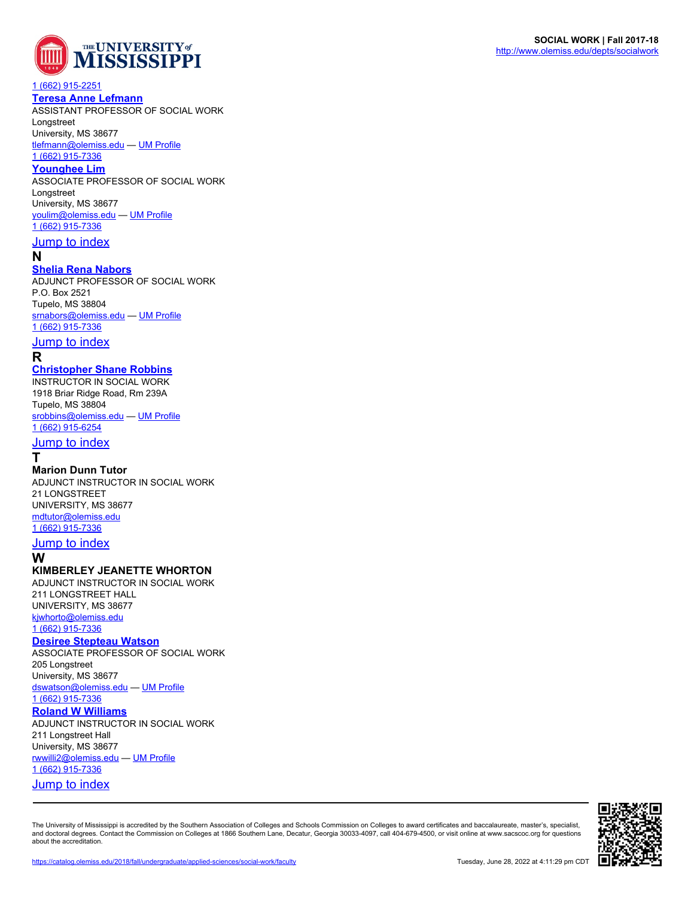

#### [1 \(662\) 915-2251](http://catalog.olemiss.edu/tel:16629152251)

#### **[Teresa Anne Lefmann](http://www.olemiss.edu/people/tlefmann)**

ASSISTANT PROFESSOR OF SOCIAL WORK Longstreet

University, MS 38677

[tlefmann@olemiss.edu](http://catalog.olemiss.edu/mailto:tlefmann@olemiss.edu) — [UM Profile](http://www.olemiss.edu/people/tlefmann) [1 \(662\) 915-7336](http://catalog.olemiss.edu/tel:16629157336)

# **[Younghee Lim](http://www.olemiss.edu/people/youlim)**

ASSOCIATE PROFESSOR OF SOCIAL WORK Longstreet

### University, MS 38677

[youlim@olemiss.edu](http://catalog.olemiss.edu/mailto:youlim@olemiss.edu) — [UM Profile](http://www.olemiss.edu/people/youlim) [1 \(662\) 915-7336](http://catalog.olemiss.edu/tel:16629157336)

# [Jump to index](#page--1-0)

**N**

#### **[Shelia Rena Nabors](http://www.olemiss.edu/people/srnabors)**

ADJUNCT PROFESSOR OF SOCIAL WORK P.O. Box 2521 Tupelo, MS 38804 [srnabors@olemiss.edu](http://catalog.olemiss.edu/mailto:srnabors@olemiss.edu) — [UM Profile](http://www.olemiss.edu/people/srnabors) [1 \(662\) 915-7336](http://catalog.olemiss.edu/tel:16629157336)

## **[Jump to index](#page--1-0)**

**R**

### **[Christopher Shane Robbins](http://www.olemiss.edu/people/srobbins)**

INSTRUCTOR IN SOCIAL WORK 1918 Briar Ridge Road, Rm 239A Tupelo, MS 38804 [srobbins@olemiss.edu](http://catalog.olemiss.edu/mailto:srobbins@olemiss.edu) — [UM Profile](http://www.olemiss.edu/people/srobbins) [1 \(662\) 915-6254](http://catalog.olemiss.edu/tel:16629156254)

# **[Jump to index](#page--1-0)**

**T**

#### **Marion Dunn Tutor**

ADJUNCT INSTRUCTOR IN SOCIAL WORK 21 LONGSTREET UNIVERSITY, MS 38677 [mdtutor@olemiss.edu](http://catalog.olemiss.edu/mailto:mdtutor@olemiss.edu) [1 \(662\) 915-7336](http://catalog.olemiss.edu/tel:16629157336)

#### **[Jump to index](#page--1-0)**

**W**

### **KIMBERLEY JEANETTE WHORTON**

ADJUNCT INSTRUCTOR IN SOCIAL WORK 211 LONGSTREET HALL UNIVERSITY, MS 38677 [kjwhorto@olemiss.edu](http://catalog.olemiss.edu/mailto:kjwhorto@olemiss.edu) [1 \(662\) 915-7336](http://catalog.olemiss.edu/tel:16629157336)

#### **[Desiree Stepteau Watson](http://www.olemiss.edu/people/dswatson)**

ASSOCIATE PROFESSOR OF SOCIAL WORK 205 Longstreet University, MS 38677 [dswatson@olemiss.edu](http://catalog.olemiss.edu/mailto:dswatson@olemiss.edu) — [UM Profile](http://www.olemiss.edu/people/dswatson) [1 \(662\) 915-7336](http://catalog.olemiss.edu/tel:16629157336)

#### **[Roland W Williams](http://www.olemiss.edu/people/rwwilli2)**

ADJUNCT INSTRUCTOR IN SOCIAL WORK 211 Longstreet Hall University, MS 38677 [rwwilli2@olemiss.edu](http://catalog.olemiss.edu/mailto:rwwilli2@olemiss.edu) — [UM Profile](http://www.olemiss.edu/people/rwwilli2) [1 \(662\) 915-7336](http://catalog.olemiss.edu/tel:16629157336) [Jump to index](#page--1-0)

The University of Mississippi is accredited by the Southern Association of Colleges and Schools Commission on Colleges to award certificates and baccalaureate, master's, specialist, and doctoral degrees. Contact the Commission on Colleges at 1866 Southern Lane, Decatur, Georgia 30033-4097, call 404-679-4500, or visit online at www.sacscoc.org for questions about the accreditation.



**SOCIAL WORK | Fall 2017-18** <http://www.olemiss.edu/depts/socialwork>